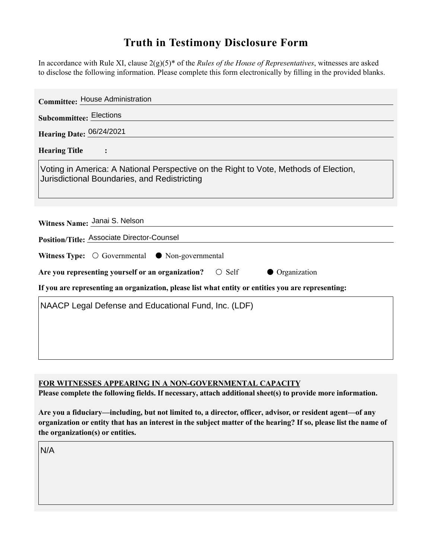## **Truth in Testimony Disclosure Form**

In accordance with Rule XI, clause 2(g)(5)\* of the *Rules of the House of Representatives*, witnesses are asked to disclose the following information. Please complete this form electronically by filling in the provided blanks.

| <b>Committee: House Administration</b>                                                                                               |
|--------------------------------------------------------------------------------------------------------------------------------------|
| <b>Subcommittee: Elections</b>                                                                                                       |
| Hearing Date: 06/24/2021                                                                                                             |
| <b>Hearing Title</b><br>$\ddot{\cdot}$                                                                                               |
| Voting in America: A National Perspective on the Right to Vote, Methods of Election,<br>Jurisdictional Boundaries, and Redistricting |
| Witness Name: Janai S. Nelson                                                                                                        |
| Position/Title: Associate Director-Counsel                                                                                           |
| Witness Type: $\bigcirc$ Governmental $\bullet$ Non-governmental                                                                     |
| $\bigcirc$ Self<br>Are you representing yourself or an organization?<br>• Organization                                               |
| If you are representing an organization, please list what entity or entities you are representing:                                   |
| NAACP Legal Defense and Educational Fund, Inc. (LDF)                                                                                 |
|                                                                                                                                      |
|                                                                                                                                      |
|                                                                                                                                      |

**FOR WITNESSES APPEARING IN A NON-GOVERNMENTAL CAPACITY**

**Please complete the following fields. If necessary, attach additional sheet(s) to provide more information.**

**Are you a fiduciary—including, but not limited to, a director, officer, advisor, or resident agent—of any organization or entity that has an interest in the subject matter of the hearing? If so, please list the name of the organization(s) or entities.**

N/A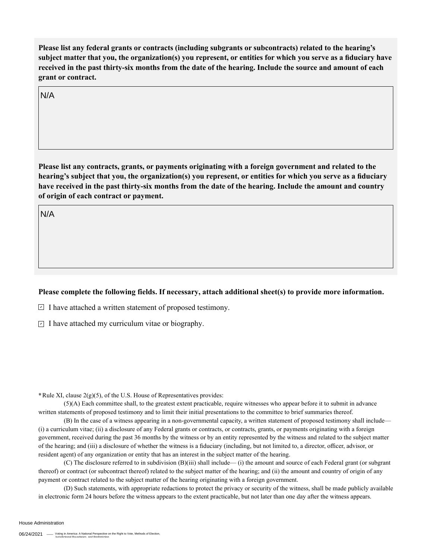**Please list any federal grants or contracts (including subgrants or subcontracts) related to the hearing's subject matter that you, the organization(s) you represent, or entities for which you serve as a fiduciary have received in the past thirty-six months from the date of the hearing. Include the source and amount of each grant or contract.** 

N/A

**Please list any contracts, grants, or payments originating with a foreign government and related to the hearing's subject that you, the organization(s) you represent, or entities for which you serve as a fiduciary have received in the past thirty-six months from the date of the hearing. Include the amount and country of origin of each contract or payment.** 

N/A

## **Please complete the following fields. If necessary, attach additional sheet(s) to provide more information.**

 $\exists$  I have attached a written statement of proposed testimony.

 $\subseteq$  I have attached my curriculum vitae or biography.

**\***Rule XI, clause 2(g)(5), of the U.S. House of Representatives provides:

(5)(A) Each committee shall, to the greatest extent practicable, require witnesses who appear before it to submit in advance written statements of proposed testimony and to limit their initial presentations to the committee to brief summaries thereof.

(B) In the case of a witness appearing in a non-governmental capacity, a written statement of proposed testimony shall include— (i) a curriculum vitae; (ii) a disclosure of any Federal grants or contracts, or contracts, grants, or payments originating with a foreign government, received during the past 36 months by the witness or by an entity represented by the witness and related to the subject matter of the hearing; and (iii) a disclosure of whether the witness is a fiduciary (including, but not limited to, a director, officer, advisor, or resident agent) of any organization or entity that has an interest in the subject matter of the hearing.

(C) The disclosure referred to in subdivision (B)(iii) shall include— (i) the amount and source of each Federal grant (or subgrant thereof) or contract (or subcontract thereof) related to the subject matter of the hearing; and (ii) the amount and country of origin of any payment or contract related to the subject matter of the hearing originating with a foreign government.

(D) Such statements, with appropriate redactions to protect the privacy or security of the witness, shall be made publicly available in electronic form 24 hours before the witness appears to the extent practicable, but not later than one day after the witness appears.

House Administration